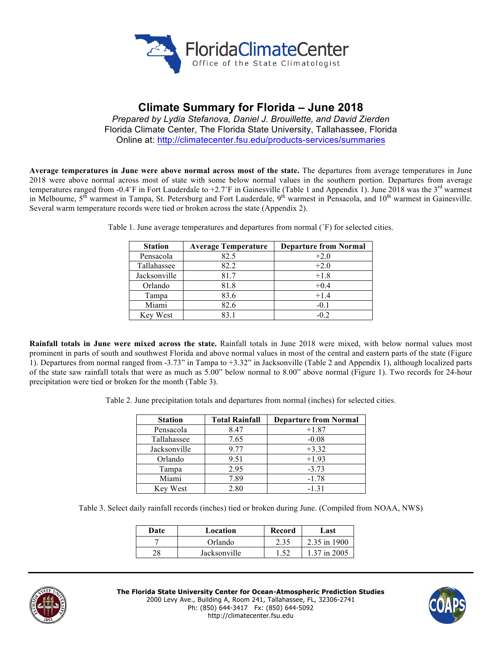

# **Climate Summary for Florida – June 2018**

*Prepared by Lydia Stefanova, Daniel J. Brouillette, and David Zierden* Florida Climate Center, The Florida State University, Tallahassee, Florida Online at: http://climatecenter.fsu.edu/products-services/summaries

**Average temperatures in June were above normal across most of the state.** The departures from average temperatures in June 2018 were above normal across most of state with some below normal values in the southern portion. Departures from average temperatures ranged from -0.4°F in Fort Lauderdale to +2.7°F in Gainesville (Table 1 and Appendix 1). June 2018 was the  $3<sup>rd</sup>$  warmest in Melbourne, 5<sup>th</sup> warmest in Tampa, St. Petersburg and Fort Lauderdale, 9<sup>th</sup> warmest in Pensacola, and 10<sup>th</sup> warmest in Gainesville. Several warm temperature records were tied or broken across the state (Appendix 2).

| <b>Station</b> | <b>Average Temperature</b> | <b>Departure from Normal</b> |
|----------------|----------------------------|------------------------------|
| Pensacola      | 82.5                       | $+2.0$                       |
| Tallahassee    | 82.2                       | $+2.0$                       |
| Jacksonville   | 81.7                       | $+1.8$                       |
| Orlando        | 81.8                       | $+0.4$                       |
| Tampa          | 83.6                       | $+1.4$                       |
| Miami          | 82.6                       | $-0.1$                       |
| Key West       | 83 1                       | $-0.2$                       |

Table 1. June average temperatures and departures from normal (˚F) for selected cities.

**Rainfall totals in June were mixed across the state.** Rainfall totals in June 2018 were mixed, with below normal values most prominent in parts of south and southwest Florida and above normal values in most of the central and eastern parts of the state (Figure 1). Departures from normal ranged from -3.73" in Tampa to +3.32" in Jacksonville (Table 2 and Appendix 1), although localized parts of the state saw rainfall totals that were as much as 5.00" below normal to 8.00" above normal (Figure 1). Two records for 24-hour precipitation were tied or broken for the month (Table 3).

Table 2. June precipitation totals and departures from normal (inches) for selected cities.

| <b>Station</b> | <b>Total Rainfall</b> | <b>Departure from Normal</b> |
|----------------|-----------------------|------------------------------|
| Pensacola      | 8.47                  | $+1.87$                      |
| Tallahassee    | 7.65                  | $-0.08$                      |
| Jacksonville   | 9.77                  | $+3.32$                      |
| Orlando        | 9.51                  | $+1.93$                      |
| Tampa          | 2.95                  | $-3.73$                      |
| Miami          | 7.89                  | $-1.78$                      |
| Key West       | 2.80                  | $-1, 31$                     |

Table 3. Select daily rainfall records (inches) tied or broken during June. (Compiled from NOAA, NWS)

| Date | Location     | Record | Last         |
|------|--------------|--------|--------------|
|      | Orlando      | 2.35   | 2.35 in 1900 |
| າດ   | Jacksonville |        | 1 37 in 2005 |



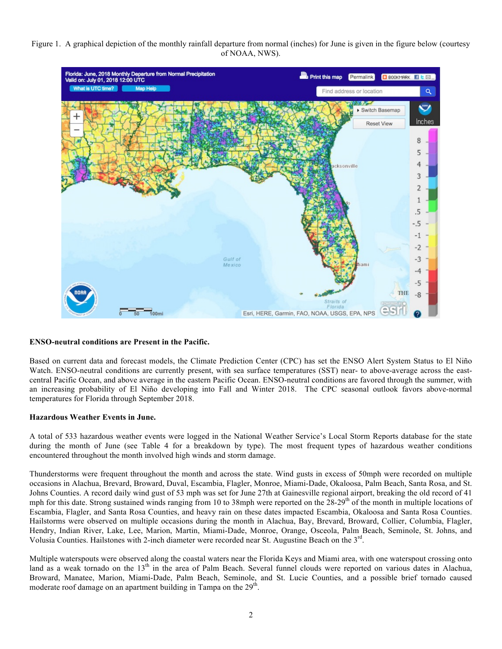## Figure 1. A graphical depiction of the monthly rainfall departure from normal (inches) for June is given in the figure below (courtesy of NOAA, NWS).



### **ENSO-neutral conditions are Present in the Pacific.**

Based on current data and forecast models, the Climate Prediction Center (CPC) has set the ENSO Alert System Status to El Niño Watch. ENSO-neutral conditions are currently present, with sea surface temperatures (SST) near- to above-average across the eastcentral Pacific Ocean, and above average in the eastern Pacific Ocean. ENSO-neutral conditions are favored through the summer, with an increasing probability of El Niño developing into Fall and Winter 2018. The CPC seasonal outlook favors above-normal temperatures for Florida through September 2018.

### **Hazardous Weather Events in June.**

A total of 533 hazardous weather events were logged in the National Weather Service's Local Storm Reports database for the state during the month of June (see Table 4 for a breakdown by type). The most frequent types of hazardous weather conditions encountered throughout the month involved high winds and storm damage.

Thunderstorms were frequent throughout the month and across the state. Wind gusts in excess of 50mph were recorded on multiple occasions in Alachua, Brevard, Broward, Duval, Escambia, Flagler, Monroe, Miami-Dade, Okaloosa, Palm Beach, Santa Rosa, and St. Johns Counties. A record daily wind gust of 53 mph was set for June 27th at Gainesville regional airport, breaking the old record of 41 mph for this date. Strong sustained winds ranging from 10 to 38mph were reported on the  $28-29<sup>th</sup>$  of the month in multiple locations of Escambia, Flagler, and Santa Rosa Counties, and heavy rain on these dates impacted Escambia, Okaloosa and Santa Rosa Counties. Hailstorms were observed on multiple occasions during the month in Alachua, Bay, Brevard, Broward, Collier, Columbia, Flagler, Hendry, Indian River, Lake, Lee, Marion, Martin, Miami-Dade, Monroe, Orange, Osceola, Palm Beach, Seminole, St. Johns, and Volusia Counties. Hailstones with 2-inch diameter were recorded near St. Augustine Beach on the  $3<sup>rd</sup>$ .

Multiple waterspouts were observed along the coastal waters near the Florida Keys and Miami area, with one waterspout crossing onto land as a weak tornado on the 13<sup>th</sup> in the area of Palm Beach. Several funnel clouds were reported on various dates in Alachua, Broward, Manatee, Marion, Miami-Dade, Palm Beach, Seminole, and St. Lucie Counties, and a possible brief tornado caused moderate roof damage on an apartment building in Tampa on the 29<sup>th</sup>.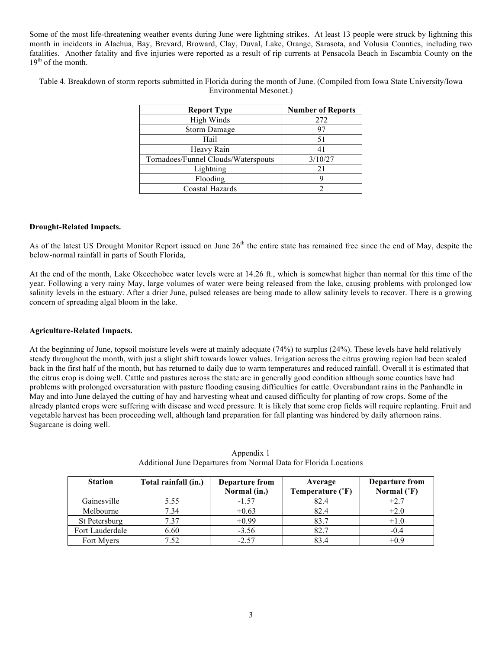Some of the most life-threatening weather events during June were lightning strikes. At least 13 people were struck by lightning this month in incidents in Alachua, Bay, Brevard, Broward, Clay, Duval, Lake, Orange, Sarasota, and Volusia Counties, including two fatalities. Another fatality and five injuries were reported as a result of rip currents at Pensacola Beach in Escambia County on the  $19<sup>th</sup>$  of the month.

Table 4. Breakdown of storm reports submitted in Florida during the month of June. (Compiled from Iowa State University/Iowa Environmental Mesonet.)

| <b>Report Type</b>                  | <b>Number of Reports</b> |  |
|-------------------------------------|--------------------------|--|
| High Winds                          | 272                      |  |
| <b>Storm Damage</b>                 | 97                       |  |
| Hail                                | 51                       |  |
| Heavy Rain                          | 41                       |  |
| Tornadoes/Funnel Clouds/Waterspouts | 3/10/27                  |  |
| Lightning                           | 21                       |  |
| Flooding                            |                          |  |
| Coastal Hazards                     |                          |  |

### **Drought-Related Impacts.**

As of the latest US Drought Monitor Report issued on June 26<sup>th</sup> the entire state has remained free since the end of May, despite the below-normal rainfall in parts of South Florida,

At the end of the month, Lake Okeechobee water levels were at 14.26 ft., which is somewhat higher than normal for this time of the year. Following a very rainy May, large volumes of water were being released from the lake, causing problems with prolonged low salinity levels in the estuary. After a drier June, pulsed releases are being made to allow salinity levels to recover. There is a growing concern of spreading algal bloom in the lake.

### **Agriculture-Related Impacts.**

At the beginning of June, topsoil moisture levels were at mainly adequate (74%) to surplus (24%). These levels have held relatively steady throughout the month, with just a slight shift towards lower values. Irrigation across the citrus growing region had been scaled back in the first half of the month, but has returned to daily due to warm temperatures and reduced rainfall. Overall it is estimated that the citrus crop is doing well. Cattle and pastures across the state are in generally good condition although some counties have had problems with prolonged oversaturation with pasture flooding causing difficulties for cattle. Overabundant rains in the Panhandle in May and into June delayed the cutting of hay and harvesting wheat and caused difficulty for planting of row crops. Some of the already planted crops were suffering with disease and weed pressure. It is likely that some crop fields will require replanting. Fruit and vegetable harvest has been proceeding well, although land preparation for fall planting was hindered by daily afternoon rains. Sugarcane is doing well.

| <b>Station</b>  | Total rainfall (in.) | Departure from<br>Normal (in.) | Average<br>Temperature (°F) | <b>Departure from</b><br>Normal $(^{\circ}F)$ |
|-----------------|----------------------|--------------------------------|-----------------------------|-----------------------------------------------|
| Gainesville     | 5.55                 | $-1.57$                        | 82.4                        | $+2.7$                                        |
| Melbourne       | 7.34                 | $+0.63$                        | 82.4                        | $+2.0$                                        |
| St Petersburg   | 7.37                 | $+0.99$                        | 83.7                        | $+1.0$                                        |
| Fort Lauderdale | 6.60                 | $-3.56$                        | 82.7                        | $-0.4$                                        |
| Fort Myers      | 7.52                 | $-2.57$                        | 83.4                        | $+0.9$                                        |

|                                                                   | Appendix 1 |  |
|-------------------------------------------------------------------|------------|--|
| Additional June Departures from Normal Data for Florida Locations |            |  |